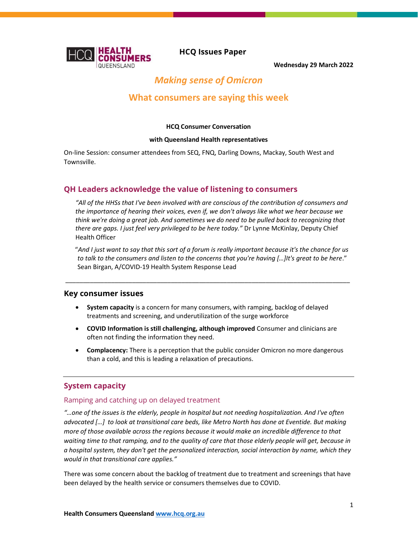

HCQ Issues Paper

Wednesday 29 March 2022

# Making sense of Omicron

## What consumers are saying this week

#### HCQ Consumer Conversation

#### with Queensland Health representatives

On-line Session: consumer attendees from SEQ, FNQ, Darling Downs, Mackay, South West and Townsville.

### QH Leaders acknowledge the value of listening to consumers

"All of the HHSs that I've been involved with are conscious of the contribution of consumers and the importance of hearing their voices, even if, we don't always like what we hear because we think we're doing a great job. And sometimes we do need to be pulled back to recognizing that there are gaps. I just feel very privileged to be here today." Dr Lynne McKinlay, Deputy Chief Health Officer

"And I just want to say that this sort of a forum is really important because it's the chance for us to talk to the consumers and listen to the concerns that you're having […]It's great to be here." Sean Birgan, A/COVID-19 Health System Response Lead

\_\_\_\_\_\_\_\_\_\_\_\_\_\_\_\_\_\_\_\_\_\_\_\_\_\_\_\_\_\_\_\_\_\_\_\_\_\_\_\_\_\_\_\_\_\_\_\_\_\_\_\_\_\_\_\_\_\_\_\_\_\_\_\_\_\_\_\_\_\_\_\_\_\_\_\_\_\_\_\_\_

#### Key consumer issues

- System capacity is a concern for many consumers, with ramping, backlog of delayed treatments and screening, and underutilization of the surge workforce
- COVID Information is still challenging, although improved Consumer and clinicians are often not finding the information they need.
- Complacency: There is a perception that the public consider Omicron no more dangerous than a cold, and this is leading a relaxation of precautions.

#### System capacity

#### Ramping and catching up on delayed treatment

"…one of the issues is the elderly, people in hospital but not needing hospitalization. And I've often advocated […] to look at transitional care beds, like Metro North has done at Eventide. But making more of those available across the regions because it would make an incredible difference to that waiting time to that ramping, and to the quality of care that those elderly people will get, because in a hospital system, they don't get the personalized interaction, social interaction by name, which they would in that transitional care applies."

There was some concern about the backlog of treatment due to treatment and screenings that have been delayed by the health service or consumers themselves due to COVID.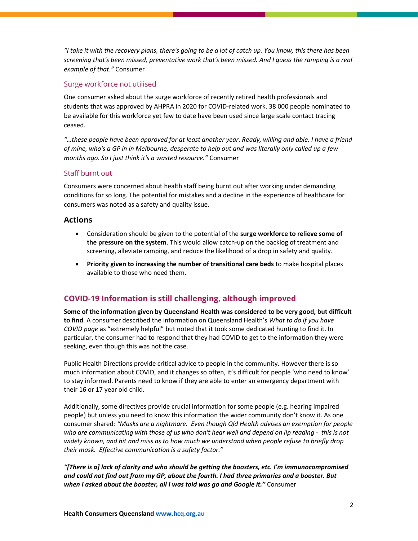"I take it with the recovery plans, there's going to be a lot of catch up. You know, this there has been screening that's been missed, preventative work that's been missed. And I guess the ramping is a real example of that." Consumer

#### Surge workforce not utilised

One consumer asked about the surge workforce of recently retired health professionals and students that was approved by AHPRA in 2020 for COVID-related work. 38 000 people nominated to be available for this workforce yet few to date have been used since large scale contact tracing ceased.

"…these people have been approved for at least another year. Ready, willing and able. I have a friend of mine, who's a GP in in Melbourne, desperate to help out and was literally only called up a few months ago. So I just think it's a wasted resource." Consumer

#### Staff burnt out

Consumers were concerned about health staff being burnt out after working under demanding conditions for so long. The potential for mistakes and a decline in the experience of healthcare for consumers was noted as a safety and quality issue.

#### Actions

- Consideration should be given to the potential of the surge workforce to relieve some of the pressure on the system. This would allow catch-up on the backlog of treatment and screening, alleviate ramping, and reduce the likelihood of a drop in safety and quality.
- Priority given to increasing the number of transitional care beds to make hospital places available to those who need them.

## COVID-19 Information is still challenging, although improved

Some of the information given by Queensland Health was considered to be very good, but difficult to find. A consumer described the information on Queensland Health's What to do if you have COVID page as "extremely helpful" but noted that it took some dedicated hunting to find it. In particular, the consumer had to respond that they had COVID to get to the information they were seeking, even though this was not the case.

Public Health Directions provide critical advice to people in the community. However there is so much information about COVID, and it changes so often, it's difficult for people 'who need to know' to stay informed. Parents need to know if they are able to enter an emergency department with their 16 or 17 year old child.

Additionally, some directives provide crucial information for some people (e.g. hearing impaired people) but unless you need to know this information the wider community don't know it. As one consumer shared: "Masks are a nightmare. Even though Qld Health advises an exemption for people who are communicating with those of us who don't hear well and depend on lip reading - this is not widely known, and hit and miss as to how much we understand when people refuse to briefly drop their mask. Effective communication is a safety factor."

"[There is a] lack of clarity and who should be getting the boosters, etc. I'm immunocompromised and could not find out from my GP, about the fourth. I had three primaries and a booster. But when I asked about the booster, all I was told was go and Google it." Consumer